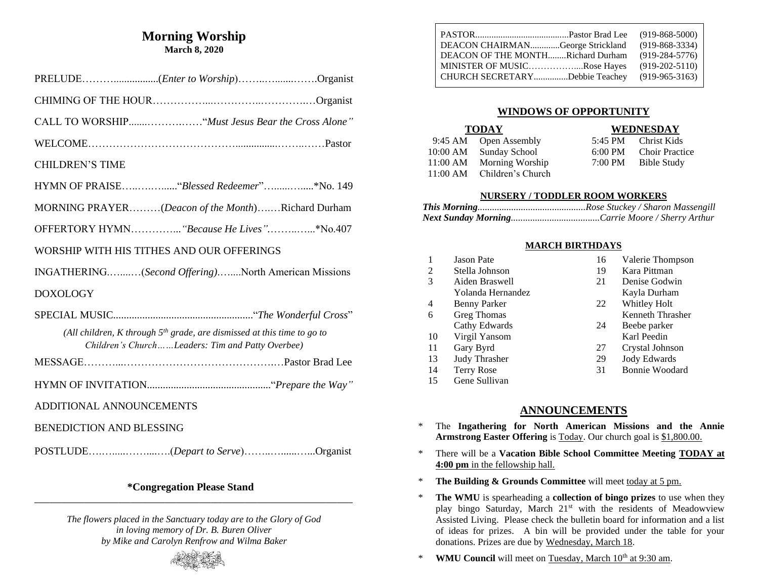## **Morning Worship March 8, 2020**

| <b>CHILDREN'S TIME</b>                                                                                                        |
|-------------------------------------------------------------------------------------------------------------------------------|
|                                                                                                                               |
| MORNING PRAYER(Deacon of the Month)Richard Durham                                                                             |
| OFFERTORY HYMN "Because He Lives"*No.407                                                                                      |
| WORSHIP WITH HIS TITHES AND OUR OFFERINGS                                                                                     |
| INGATHERING(Second Offering)North American Missions                                                                           |
| <b>DOXOLOGY</b>                                                                                                               |
|                                                                                                                               |
| (All children, K through $5th$ grade, are dismissed at this time to go to<br>Children's ChurchLeaders: Tim and Patty Overbee) |
|                                                                                                                               |
|                                                                                                                               |
| ADDITIONAL ANNOUNCEMENTS                                                                                                      |
| <b>BENEDICTION AND BLESSING</b>                                                                                               |
|                                                                                                                               |

#### **\*Congregation Please Stand \_\_\_\_\_\_\_\_\_\_\_\_\_\_\_\_\_\_\_\_\_\_\_\_\_\_\_\_\_\_\_\_\_\_\_\_\_\_\_\_\_\_\_\_\_\_\_\_\_\_\_\_\_\_\_\_\_\_\_\_\_\_\_\_\_\_\_\_\_\_\_\_\_\_\_\_\_\_\_\_\_\_\_**

*The flowers placed in the Sanctuary today are to the Glory of God in loving memory of Dr. B. Buren Oliver by Mike and Carolyn Renfrow and Wilma Baker*



|                                   | $(919 - 868 - 5000)$ |
|-----------------------------------|----------------------|
| DEACON CHAIRMANGeorge Strickland  | $(919 - 868 - 3334)$ |
| DEACON OF THE MONTHRichard Durham | $(919-284-5776)$     |
| MINISTER OF MUSICRose Hayes       | $(919-202-5110)$     |
| CHURCH SECRETARYDebbie Teachey    | $(919-965-3163)$     |

### **WINDOWS OF OPPORTUNITY**

| <b>TODAY</b> |                            | <b>WEDNESDAY</b>       |
|--------------|----------------------------|------------------------|
|              | 9:45 AM Open Assembly      | 5:45 PM Christ Kids    |
|              | 10:00 AM Sunday School     | 6:00 PM Choir Practice |
|              | 11:00 AM Morning Worship   | 7:00 PM Bible Study    |
|              | 11:00 AM Children's Church |                        |

#### **NURSERY / TODDLER ROOM WORKERS**

#### **MARCH BIRTHDAYS**

| 1  | <b>Jason Pate</b>  | 16 | Valerie Thompson      |
|----|--------------------|----|-----------------------|
| 2  | Stella Johnson     | 19 | Kara Pittman          |
| 3  | Aiden Braswell     | 21 | Denise Godwin         |
|    | Yolanda Hernandez  |    | Kayla Durham          |
| 4  | Benny Parker       | 22 | Whitley Holt          |
| 6  | <b>Greg Thomas</b> |    | Kenneth Thrasher      |
|    | Cathy Edwards      | 24 | Beebe parker          |
| 10 | Virgil Yansom      |    | Karl Peedin           |
| 11 | Gary Byrd          | 27 | Crystal Johnson       |
| 13 | Judy Thrasher      | 29 | Jody Edwards          |
| 14 | <b>Terry Rose</b>  | 31 | <b>Bonnie Woodard</b> |
| 15 | Gene Sullivan      |    |                       |

## **ANNOUNCEMENTS**

- \* The **Ingathering for North American Missions and the Annie Armstrong Easter Offering** is Today. Our church goal is \$1,800.00.
- \* There will be a **Vacation Bible School Committee Meeting TODAY at 4:00 pm** in the fellowship hall.
- \* **The Building & Grounds Committee** will meet today at 5 pm.
- \* **The WMU** is spearheading a **collection of bingo prizes** to use when they play bingo Saturday, March 21<sup>st</sup> with the residents of Meadowview Assisted Living. Please check the bulletin board for information and a list of ideas for prizes. A bin will be provided under the table for your donations. Prizes are due by Wednesday, March 18.
- \* **WMU Council** will meet on Tuesday, March 10<sup>th</sup> at 9:30 am.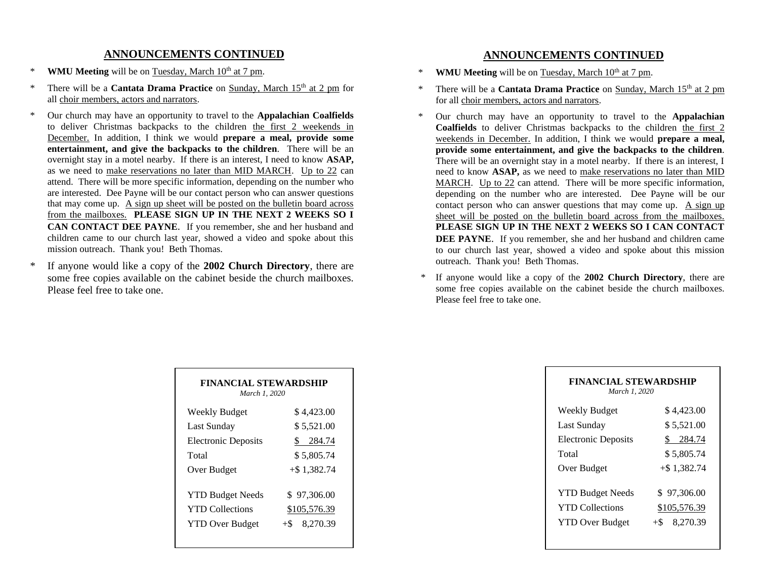## **ANNOUNCEMENTS CONTINUED**

- \* **WMU Meeting** will be on Tuesday, March 10<sup>th</sup> at 7 pm.
- \* There will be a **Cantata Drama Practice** on Sunday, March 15th at 2 pm for all choir members, actors and narrators.
- \* Our church may have an opportunity to travel to the **Appalachian Coalfields** to deliver Christmas backpacks to the children the first 2 weekends in December. In addition, I think we would **prepare a meal, provide some entertainment, and give the backpacks to the children**. There will be an overnight stay in a motel nearby. If there is an interest, I need to know **ASAP,** as we need to make reservations no later than MID MARCH. Up to 22 can attend. There will be more specific information, depending on the number who are interested. Dee Payne will be our contact person who can answer questions that may come up. A sign up sheet will be posted on the bulletin board across from the mailboxes. **PLEASE SIGN UP IN THE NEXT 2 WEEKS SO I CAN CONTACT DEE PAYNE**. If you remember, she and her husband and children came to our church last year, showed a video and spoke about this mission outreach. Thank you! Beth Thomas.
- \* If anyone would like a copy of the **2002 Church Directory**, there are some free copies available on the cabinet beside the church mailboxes. Please feel free to take one.

### **ANNOUNCEMENTS CONTINUED**

- \* **WMU Meeting** will be on Tuesday, March 10<sup>th</sup> at 7 pm.
- \* There will be a **Cantata Drama Practice** on Sunday, March 15th at 2 pm for all choir members, actors and narrators.
- \* Our church may have an opportunity to travel to the **Appalachian Coalfields** to deliver Christmas backpacks to the children the first 2 weekends in December. In addition, I think we would **prepare a meal, provide some entertainment, and give the backpacks to the children**. There will be an overnight stay in a motel nearby. If there is an interest, I need to know **ASAP,** as we need to make reservations no later than MID MARCH. Up to 22 can attend. There will be more specific information, depending on the number who are interested. Dee Payne will be our contact person who can answer questions that may come up. A sign up sheet will be posted on the bulletin board across from the mailboxes. **PLEASE SIGN UP IN THE NEXT 2 WEEKS SO I CAN CONTACT DEE PAYNE**. If you remember, she and her husband and children came to our church last year, showed a video and spoke about this mission outreach. Thank you! Beth Thomas.
- \* If anyone would like a copy of the **2002 Church Directory**, there are some free copies available on the cabinet beside the church mailboxes. Please feel free to take one.

| <b>FINANCIAL STEWARDSHIP</b><br>March 1, 2020 |                     |  |
|-----------------------------------------------|---------------------|--|
| Weekly Budget                                 | \$4,423.00          |  |
| Last Sunday                                   | \$5,521.00          |  |
| <b>Electronic Deposits</b>                    | \$ 284.74           |  |
| Total                                         | \$5,805.74          |  |
| Over Budget                                   | $+$ \$1,382.74      |  |
| <b>YTD Budget Needs</b>                       | \$97,306.00         |  |
| <b>YTD</b> Collections                        | <u>\$105,576.39</u> |  |
| <b>YTD Over Budget</b>                        | 8,270.39<br>$+\$$   |  |

| FINANCIAL STEWARDSHIP<br>March 1, 2020 |                   |  |
|----------------------------------------|-------------------|--|
| Weekly Budget                          | \$4,423.00        |  |
| Last Sunday                            | \$5,521.00        |  |
| <b>Electronic Deposits</b>             | 284.74<br>\$      |  |
| Total                                  | \$5,805.74        |  |
| Over Budget                            | $+$ \$1,382.74    |  |
|                                        |                   |  |
| <b>YTD Budget Needs</b>                | \$97,306.00       |  |
| <b>YTD Collections</b>                 | \$105,576.39      |  |
| <b>YTD Over Budget</b>                 | 8,270.39<br>$+\$$ |  |
|                                        |                   |  |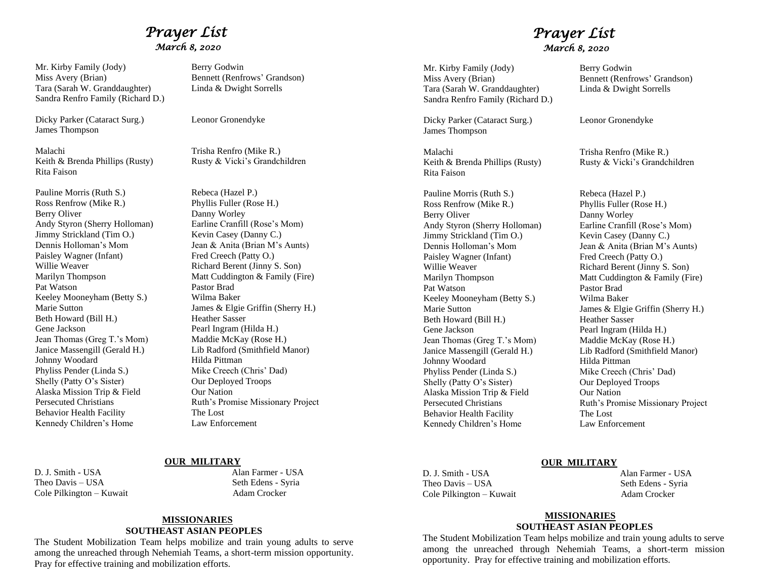## *Prayer List March 8, 2020*

Mr. Kirby Family (Jody) Berry Godwin Miss Avery (Brian) Bennett (Renfrows' Grandson) Tara (Sarah W. Granddaughter) Linda & Dwight Sorrells Sandra Renfro Family (Richard D.)

Dicky Parker (Cataract Surg.) Leonor Gronendyke James Thompson

Malachi Trisha Renfro (Mike R.) Rita Faison

Pauline Morris (Ruth S.) Rebeca (Hazel P.) Ross Renfrow (Mike R.) Phyllis Fuller (Rose H.) Berry Oliver Danny Worley Andy Styron (Sherry Holloman) Earline Cranfill (Rose's Mom) Jimmy Strickland (Tim O.) Kevin Casey (Danny C.) Paisley Wagner (Infant) Fred Creech (Patty O.)<br>Willie Weaver Richard Berent (Jinny ) Pat Watson Pastor Brad Keeley Mooneyham (Betty S.) Wilma Baker Beth Howard (Bill H.) Heather Sasser Gene Jackson Pearl Ingram (Hilda H.) Jean Thomas (Greg T.'s Mom) Maddie McKay (Rose H.) Johnny Woodard Hilda Pittman Phyliss Pender (Linda S.) Mike Creech (Chris' Dad) Shelly (Patty O's Sister) Our Deployed Troops Alaska Mission Trip & Field Our Nation Behavior Health Facility The Lost Kennedy Children's Home Law Enforcement

Keith & Brenda Phillips (Rusty) Rusty & Vicki's Grandchildren

Dennis Holloman's Mom Jean & Anita (Brian M's Aunts) Richard Berent (Jinny S. Son) Marilyn Thompson Matt Cuddington & Family (Fire) Marie Sutton James & Elgie Griffin (Sherry H.) Janice Massengill (Gerald H.) Lib Radford (Smithfield Manor) Persecuted Christians Ruth's Promise Missionary Project

#### **OUR MILITARY**

D. J. Smith - USA Alan Farmer - USA Theo Davis – USA Seth Edens - Syria Cole Pilkington – Kuwait Adam Crocker

#### **MISSIONARIES SOUTHEAST ASIAN PEOPLES**

The Student Mobilization Team helps mobilize and train young adults to serve among the unreached through Nehemiah Teams, a short-term mission opportunity. Pray for effective training and mobilization efforts.

## *Prayer List March 8, 2020*

Mr. Kirby Family (Jody) Berry Godwin Miss Avery (Brian) Bennett (Renfrows' Grandson) Tara (Sarah W. Granddaughter) Linda & Dwight Sorrells Sandra Renfro Family (Richard D.)

Dicky Parker (Cataract Surg.) Leonor Gronendyke James Thompson

Malachi Trisha Renfro (Mike R.) Keith & Brenda Phillips (Rusty) Rusty & Vicki's Grandchildren Rita Faison

Pauline Morris (Ruth S.) Rebeca (Hazel P.) Ross Renfrow (Mike R.) Phyllis Fuller (Rose H.) Berry Oliver Danny Worley Andy Styron (Sherry Holloman) Earline Cranfill (Rose's Mom) Jimmy Strickland (Tim O.) Kevin Casey (Danny C.) Paisley Wagner (Infant) Fred Creech (Patty O.) Willie Weaver Richard Berent (Jinny S. Son) Pat Watson Pastor Brad Keeley Mooneyham (Betty S.) Wilma Baker Beth Howard (Bill H.) Heather Sasser Gene Jackson Pearl Ingram (Hilda H.) Jean Thomas (Greg T.'s Mom) Maddie McKay (Rose H.) Johnny Woodard Hilda Pittman<br>Phyliss Pender (Linda S.) Mike Creech ( Shelly (Patty O's Sister) Our Deployed Troops Alaska Mission Trip & Field Our Nation Behavior Health Facility The Lost Kennedy Children's Home Law Enforcement

Dennis Holloman's Mom Jean & Anita (Brian M's Aunts) Marilyn Thompson Matt Cuddington & Family (Fire) Marie Sutton James & Elgie Griffin (Sherry H.) Janice Massengill (Gerald H.) Lib Radford (Smithfield Manor) Mike Creech (Chris' Dad) Persecuted Christians Ruth's Promise Missionary Project

#### **OUR MILITARY**

Theo Davis – USA Seth Edens - Syria Cole Pilkington – Kuwait Adam Crocker

D. J. Smith - USA Alan Farmer - USA

#### **MISSIONARIES SOUTHEAST ASIAN PEOPLES**

The Student Mobilization Team helps mobilize and train young adults to serve among the unreached through Nehemiah Teams, a short-term mission opportunity. Pray for effective training and mobilization efforts.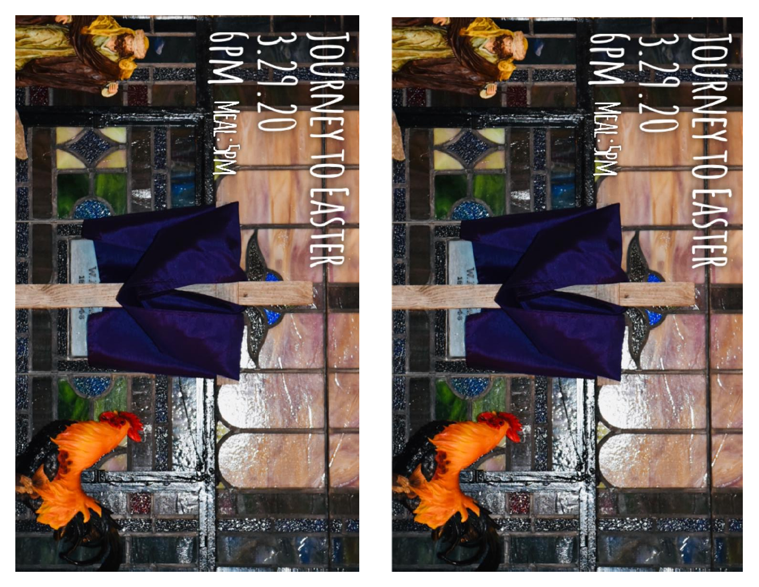